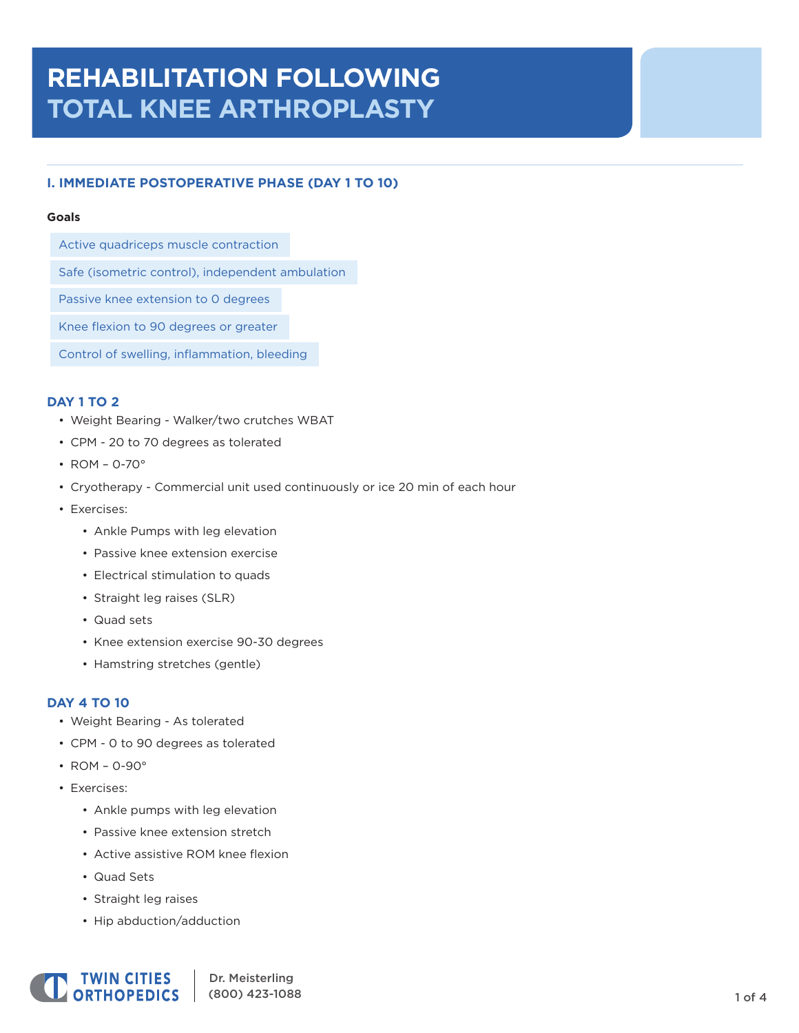# **REHABILITATION FOLLOWING TOTAL KNEE ARTHROPLASTY**

## **I. IMMEDIATE POSTOPERATIVE PHASE (DAY 1 TO 10)**

### **Goals**

Active quadriceps muscle contraction

Safe (isometric control), independent ambulation

Passive knee extension to 0 degrees

Knee flexion to 90 degrees or greater

Control of swelling, inflammation, bleeding

## **DAY 1 TO 2**

- Weight Bearing Walker/two crutches WBAT
- CPM 20 to 70 degrees as tolerated
- ROM 0-70°
- Cryotherapy Commercial unit used continuously or ice 20 min of each hour
- Exercises:
	- Ankle Pumps with leg elevation
	- Passive knee extension exercise
	- Electrical stimulation to quads
	- Straight leg raises (SLR)
	- Quad sets
	- Knee extension exercise 90-30 degrees
	- Hamstring stretches (gentle)

### **DAY 4 TO 10**

- Weight Bearing As tolerated
- CPM 0 to 90 degrees as tolerated
- ROM 0-90°
- Exercises:
	- Ankle pumps with leg elevation
	- Passive knee extension stretch
	- Active assistive ROM knee flexion
	- Quad Sets
	- Straight leg raises
	- Hip abduction/adduction

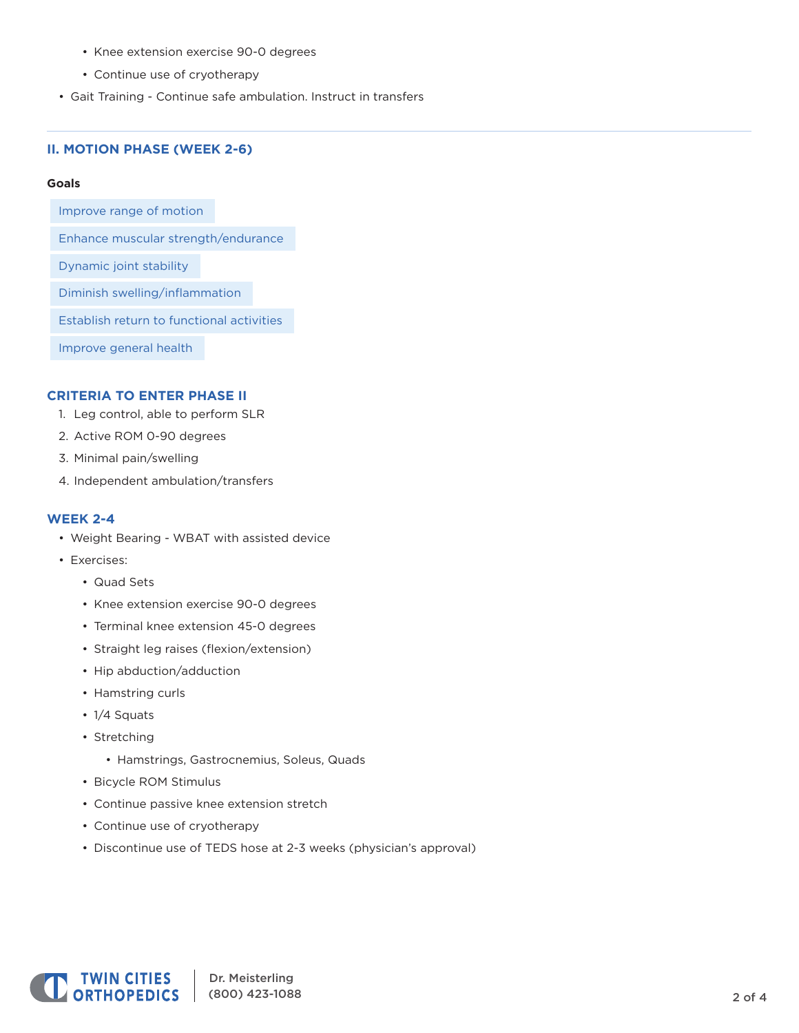- Knee extension exercise 90-0 degrees
- Continue use of cryotherapy
- Gait Training Continue safe ambulation. Instruct in transfers

## **II. MOTION PHASE (WEEK 2-6)**

#### **Goals**

Improve range of motion

Enhance muscular strength/endurance

Dynamic joint stability

Diminish swelling/inflammation

Establish return to functional activities

Improve general health

### **CRITERIA TO ENTER PHASE II**

- 1. Leg control, able to perform SLR
- 2. Active ROM 0-90 degrees
- 3. Minimal pain/swelling
- 4. Independent ambulation/transfers

#### **WEEK 2-4**

- Weight Bearing WBAT with assisted device
- Exercises:
	- Quad Sets
	- Knee extension exercise 90-0 degrees
	- Terminal knee extension 45-0 degrees
	- Straight leg raises (flexion/extension)
	- Hip abduction/adduction
	- Hamstring curls
	- 1/4 Squats
	- Stretching
		- Hamstrings, Gastrocnemius, Soleus, Quads
	- Bicycle ROM Stimulus
	- Continue passive knee extension stretch
	- Continue use of cryotherapy
	- Discontinue use of TEDS hose at 2-3 weeks (physician's approval)

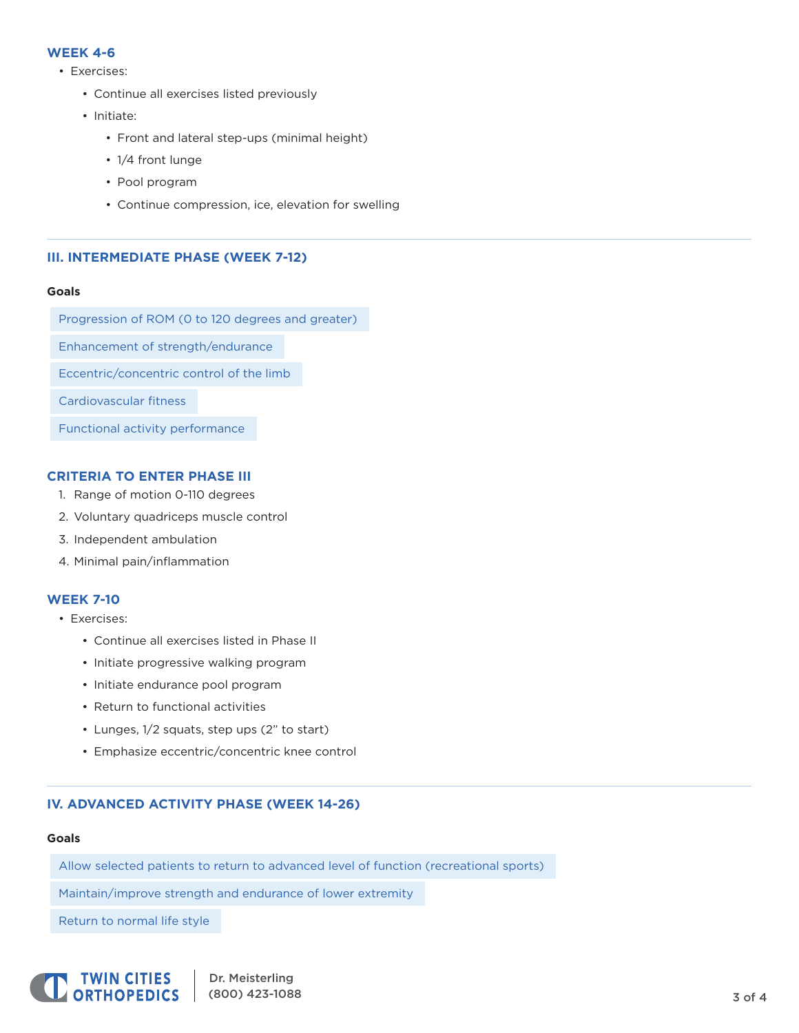## **WEEK 4-6**

- Exercises:
	- Continue all exercises listed previously
	- Initiate:
		- Front and lateral step-ups (minimal height)
		- 1/4 front lunge
		- Pool program
		- Continue compression, ice, elevation for swelling

## **III. INTERMEDIATE PHASE (WEEK 7-12)**

#### **Goals**

Progression of ROM (0 to 120 degrees and greater) Enhancement of strength/endurance Eccentric/concentric control of the limb Cardiovascular fitness Functional activity performance

## **CRITERIA TO ENTER PHASE III**

- 1. Range of motion 0-110 degrees
- 2. Voluntary quadriceps muscle control
- 3. Independent ambulation
- 4. Minimal pain/inflammation

### **WEEK 7-10**

- Exercises:
	- Continue all exercises listed in Phase II
	- Initiate progressive walking program
	- Initiate endurance pool program
	- Return to functional activities
	- Lunges, 1/2 squats, step ups (2" to start)
	- Emphasize eccentric/concentric knee control

## **IV. ADVANCED ACTIVITY PHASE (WEEK 14-26)**

#### **Goals**

Allow selected patients to return to advanced level of function (recreational sports)

Maintain/improve strength and endurance of lower extremity

Return to normal life style